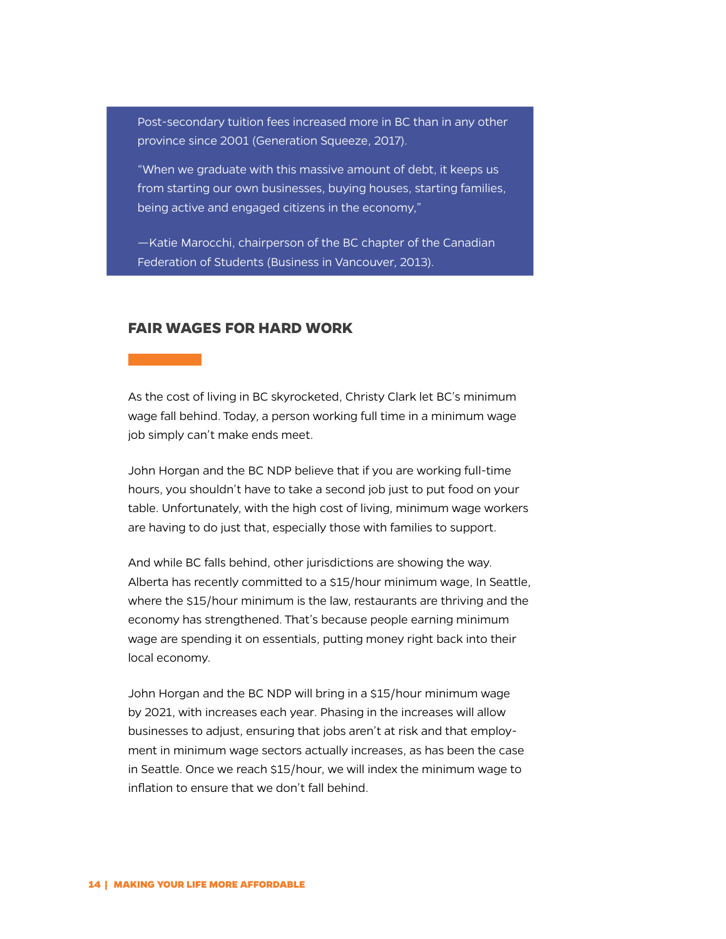Post-secondary tuition fees increased more in BC than in any other province since 2001 (Generation Squeeze, 2017).

"When we graduate with this massive amount of debt, it keeps us from starting our own businesses, buying houses, starting families, being active and engaged citizens in the economy,"

—Katie Marocchi, chairperson of the BC chapter of the Canadian Federation of Students (Business in Vancouver, 2013).

## **FAIR WAGES FOR HARD WORK**

As the cost of living in BC skyrocketed, Christy Clark let BC's minimum wage fall behind. Today, a person working full time in a minimum wage job simply can't make ends meet.

John Horgan and the BC NDP believe that if you are working full-time hours, you shouldn't have to take a second job just to put food on your table. Unfortunately, with the high cost of living, minimum wage workers are having to do just that, especially those with families to support.

And while BC falls behind, other jurisdictions are showing the way. Alberta has recently committed to a \$15/hour minimum wage, In Seattle, where the \$15/hour minimum is the law, restaurants are thriving and the economy has strengthened. That's because people earning minimum wage are spending it on essentials, putting money right back into their local economy.

John Horgan and the BC NDP will bring in a \$15/hour minimum wage by 2021, with increases each year. Phasing in the increases will allow businesses to adjust, ensuring that jobs aren't at risk and that employment in minimum wage sectors actually increases, as has been the case in Seattle. Once we reach \$15/hour, we will index the minimum wage to inflation to ensure that we don't fall behind.